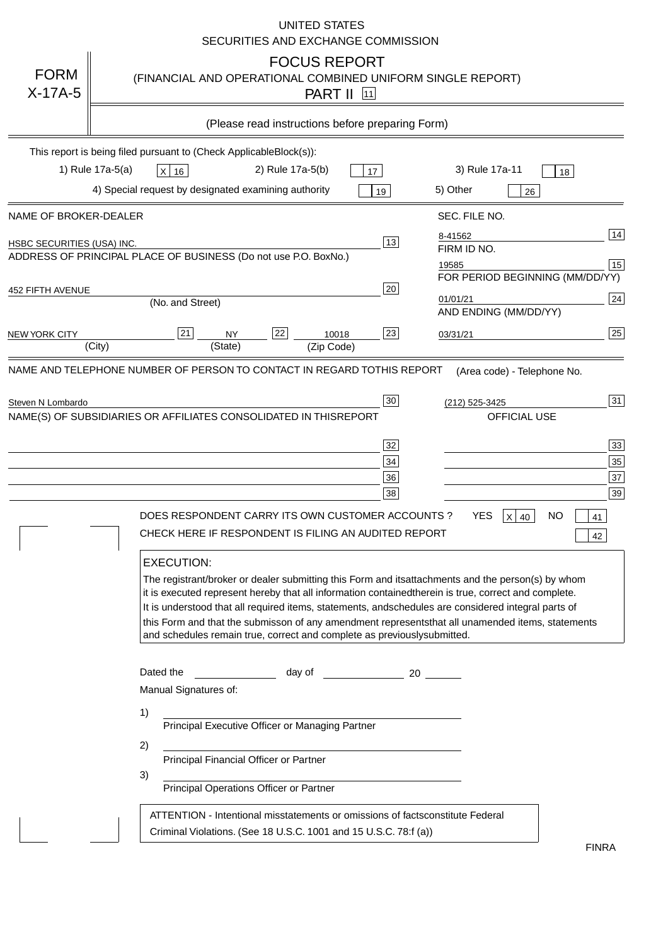|                                   | <b>UNITED STATES</b><br>SECURITIES AND EXCHANGE COMMISSION                                                                                                                                                                                                                                                                                                                                                                                                                                                                                                                                                                                                                                                                                                                                                                                                               |
|-----------------------------------|--------------------------------------------------------------------------------------------------------------------------------------------------------------------------------------------------------------------------------------------------------------------------------------------------------------------------------------------------------------------------------------------------------------------------------------------------------------------------------------------------------------------------------------------------------------------------------------------------------------------------------------------------------------------------------------------------------------------------------------------------------------------------------------------------------------------------------------------------------------------------|
| <b>FORM</b><br>$X-17A-5$          | <b>FOCUS REPORT</b><br>(FINANCIAL AND OPERATIONAL COMBINED UNIFORM SINGLE REPORT)<br><b>PART II</b> 11                                                                                                                                                                                                                                                                                                                                                                                                                                                                                                                                                                                                                                                                                                                                                                   |
|                                   | (Please read instructions before preparing Form)                                                                                                                                                                                                                                                                                                                                                                                                                                                                                                                                                                                                                                                                                                                                                                                                                         |
|                                   | This report is being filed pursuant to (Check Applicable<br>$Block(s)$ :<br>3) Rule 17a-11<br>1) Rule 17a-5(a)<br>2) Rule 17a-5(b)<br>$X$ 16<br>17<br>18<br>4) Special request by designated examining authority<br>5) Other<br>19<br>26                                                                                                                                                                                                                                                                                                                                                                                                                                                                                                                                                                                                                                 |
| NAME OF BROKER-DEALER             | SEC. FILE NO.                                                                                                                                                                                                                                                                                                                                                                                                                                                                                                                                                                                                                                                                                                                                                                                                                                                            |
| <b>HSBC SECURITIES (USA) INC.</b> | 14<br>8-41562<br>13<br>FIRM ID NO.<br>ADDRESS OF PRINCIPAL PLACE OF BUSINESS (Do not use P.O. Box<br>No.)<br>15<br>19585<br>FOR PERIOD BEGINNING (MM/DD/YY)                                                                                                                                                                                                                                                                                                                                                                                                                                                                                                                                                                                                                                                                                                              |
| <b>452 FIFTH AVENUE</b>           | 20<br>24<br>01/01/21<br>(No. and Street)<br>AND ENDING (MM/DD/YY)                                                                                                                                                                                                                                                                                                                                                                                                                                                                                                                                                                                                                                                                                                                                                                                                        |
| <b>NEW YORK CITY</b>              | 25<br>22<br>21<br>23<br><b>NY</b><br>10018<br>03/31/21<br>(City)<br>(State)<br>(Zip Code)                                                                                                                                                                                                                                                                                                                                                                                                                                                                                                                                                                                                                                                                                                                                                                                |
|                                   | NAME(S) OF SUBSIDIARIES OR AFFILIATES CONSOLIDATED IN THIS<br><b>REPORT</b><br><b>OFFICIAL USE</b><br>$\overline{33}$<br>32<br>35<br>34<br>37<br>36<br>39<br>38<br>DOES RESPONDENT CARRY ITS OWN CUSTOMER ACCOUNTS?<br><b>YES</b><br>$X$ 40<br><b>NO</b><br>41<br>CHECK HERE IF RESPONDENT IS FILING AN AUDITED REPORT<br>42<br><b>EXECUTION:</b><br>The registrant/broker or dealer submitting this Form and its<br>attachments and the person(s) by whom<br>it is executed represent hereby that all information contained<br>therein is true, correct and complete.<br>It is understood that all required items, statements, and<br>schedules are considered integral parts of<br>this Form and that the submisson of any amendment represents<br>that all unamended items, statements<br>and schedules remain true, correct and complete as previously<br>submitted. |
|                                   | Dated the<br>day of<br>20<br>Manual Signatures of:<br>1)<br>Principal Executive Officer or Managing Partner<br>2)<br>Principal Financial Officer or Partner<br>3)<br>Principal Operations Officer or Partner                                                                                                                                                                                                                                                                                                                                                                                                                                                                                                                                                                                                                                                             |
|                                   | ATTENTION - Intentional misstatements or omissions of facts<br>constitute Federal<br>Criminal Violations. (See 18 U.S.C. 1001 and 15 U.S.C. 78:f (a)<br>$\lambda$<br><b>FINRA</b>                                                                                                                                                                                                                                                                                                                                                                                                                                                                                                                                                                                                                                                                                        |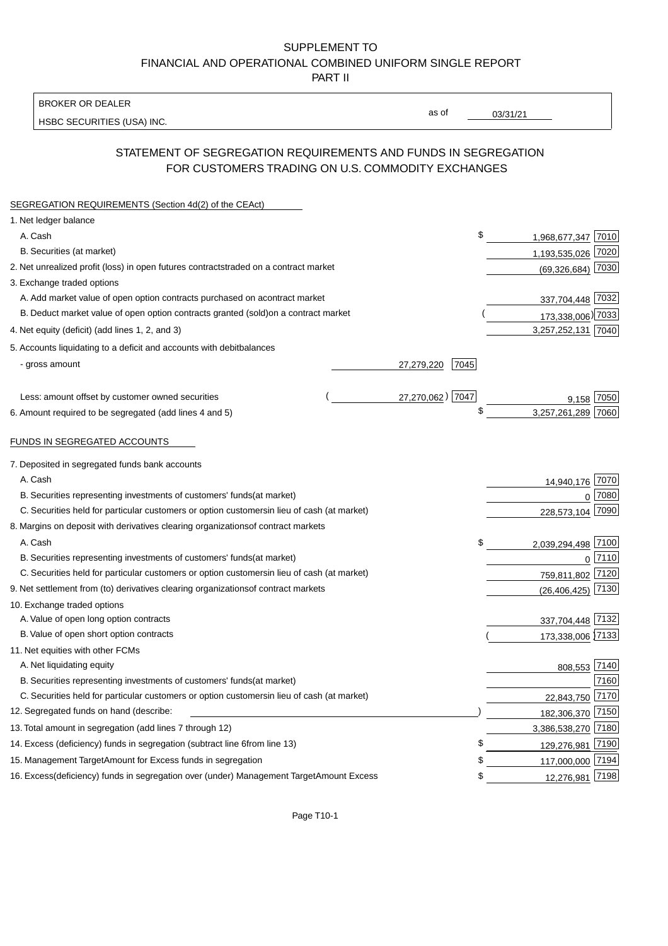BROKER OR DEALER

HSBC SECURITIES (USA) INC.

03/31/21

as of

## STATEMENT OF SEGREGATION REQUIREMENTS AND FUNDS IN SEGREGATION FOR CUSTOMERS TRADING ON U.S. COMMODITY EXCHANGES

| SEGREGATION REQUIREMENTS (Section 4d(2) of the CEAct)                                          |                    |                     |             |
|------------------------------------------------------------------------------------------------|--------------------|---------------------|-------------|
| 1. Net ledger balance                                                                          |                    |                     |             |
| A. Cash                                                                                        | \$                 | 1,968,677,347 7010  |             |
| B. Securities (at market)                                                                      |                    | 1,193,535,026 7020  |             |
| 2. Net unrealized profit (loss) in open futures contracts<br>traded on a contract market       |                    | $(69,326,684)$ 7030 |             |
| 3. Exchange traded options                                                                     |                    |                     |             |
| A. Add market value of open option contracts purchased on a<br>contract market                 |                    | 337,704,448 7032    |             |
| B. Deduct market value of open option contracts granted (sold)<br>on a contract market         |                    | 173,338,006) 7033   |             |
| 4. Net equity (deficit) (add lines 1, 2, and 3)                                                |                    | 3,257,252,131 7040  |             |
| 5. Accounts liquidating to a deficit and accounts with debit<br>balances                       |                    |                     |             |
| - gross amount                                                                                 | 7045<br>27,279,220 |                     |             |
|                                                                                                |                    |                     |             |
| Less: amount offset by customer owned securities                                               | 27,270,062) 7047   | 9.158               | 7050        |
| 6. Amount required to be segregated (add lines 4 and 5)                                        | \$                 | 3,257,261,289       | 7060        |
|                                                                                                |                    |                     |             |
| FUNDS IN SEGREGATED ACCOUNTS                                                                   |                    |                     |             |
| 7. Deposited in segregated funds bank accounts                                                 |                    |                     |             |
| A. Cash                                                                                        |                    | 14,940,176 7070     |             |
| B. Securities representing investments of customers' funds<br>(at market)                      |                    | $\Omega$            | 7080        |
| C. Securities held for particular customers or option customers<br>in lieu of cash (at market) |                    | 228,573,104         | 7090        |
| 8. Margins on deposit with derivatives clearing organizations<br>of contract markets           |                    |                     |             |
| A. Cash                                                                                        | \$                 | 2,039,294,498 7100  |             |
| B. Securities representing investments of customers' funds<br>(at market)                      |                    |                     | $0^{17110}$ |
| C. Securities held for particular customers or option customers<br>in lieu of cash (at market) |                    | 759,811,802 7120    |             |
| 9. Net settlement from (to) derivatives clearing organizations<br>of contract markets          |                    | (26, 406, 425)      | 7130        |
| 10. Exchange traded options                                                                    |                    |                     |             |
| A. Value of open long option contracts                                                         |                    | 337,704,448 7132    |             |
| B. Value of open short option contracts                                                        |                    | 173,338,006 7133    |             |
| 11. Net equities with other FCMs                                                               |                    |                     |             |
| A. Net liquidating equity                                                                      |                    | 808,553 7140        |             |
| B. Securities representing investments of customers' funds<br>(at market)                      |                    |                     | 7160        |
| C. Securities held for particular customers or option customers<br>in lieu of cash (at market) |                    | 22,843,750          | 7170        |
| 12. Segregated funds on hand (describe:                                                        |                    | 182,306,370 7150    |             |
| 13. Total amount in segregation (add lines 7 through 12)                                       |                    | 3,386,538,270 7180  |             |
| 14. Excess (deficiency) funds in segregation (subtract line 6 from line 13)                    | \$                 | 129,276,981 7190    |             |
| 15. Management Target Amount for Excess funds in segregation                                   | \$                 | 117,000,000 7194    |             |
| 16. Excess (deficiency) funds in segregation over (under) Management Target Amount Excess      | \$                 | 12,276,981 7198     |             |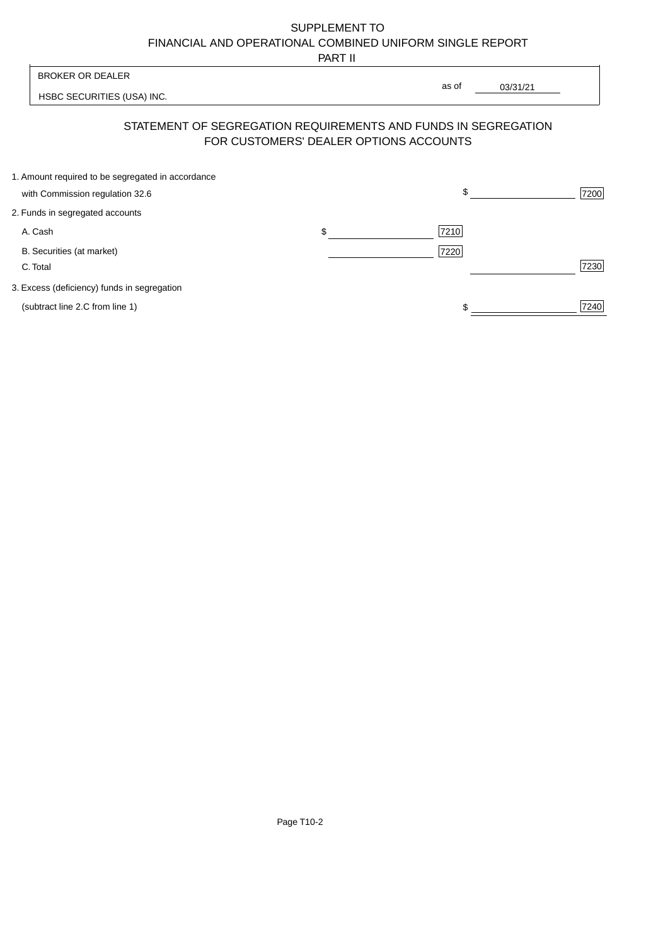PART II

| <b>BROKER OR DEALER</b>                           |                                        |                                                                |      |
|---------------------------------------------------|----------------------------------------|----------------------------------------------------------------|------|
| HSBC SECURITIES (USA) INC.                        |                                        | as of<br>03/31/21                                              |      |
|                                                   | FOR CUSTOMERS' DEALER OPTIONS ACCOUNTS | STATEMENT OF SEGREGATION REQUIREMENTS AND FUNDS IN SEGREGATION |      |
| 1. Amount required to be segregated in accordance |                                        |                                                                |      |
| with Commission regulation 32.6                   |                                        | \$                                                             | 7200 |
| 2. Funds in segregated accounts                   |                                        |                                                                |      |
| A. Cash                                           | \$                                     | 7210                                                           |      |
| B. Securities (at market)                         |                                        | 7220                                                           |      |
| C. Total                                          |                                        |                                                                | 7230 |
| 3. Excess (deficiency) funds in segregation       |                                        |                                                                |      |

(subtract line 2.C from line 1) 7240

 $\overline{\mathsf{I}}$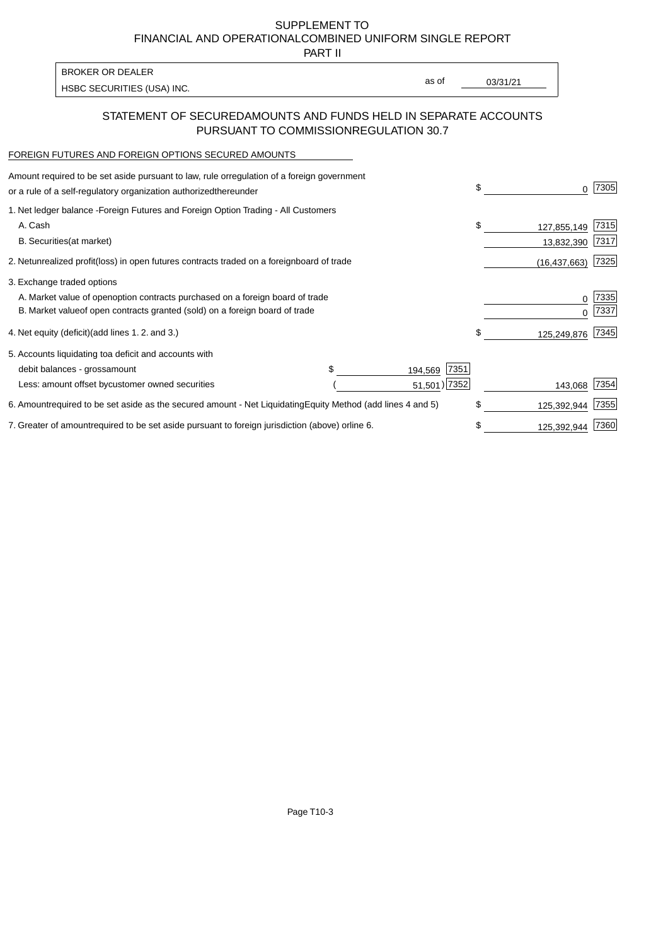PART II

HSBC SECURITIES (USA) INC. The state of the second second second second second second second second second second second second second second second second second second second second second second second second second sec BROKER OR DEALER

as of

## STATEMENT OF SECURED AMOUNTS AND FUNDS HELD IN SEPARATE ACCOUNTS PURSUANT TO COMMISSION REGULATION 30.7

#### FOREIGN FUTURES AND FOREIGN OPTIONS SECURED AMOUNTS

| Amount required to be set aside pursuant to law, rule or<br>regulation of a foreign government<br>or a rule of a self-regulatory organization authorized<br>thereunder |                                   | \$<br>0           | 7305 |
|------------------------------------------------------------------------------------------------------------------------------------------------------------------------|-----------------------------------|-------------------|------|
| 1. Net ledger balance - Foreign Futures and Foreign Option Trading - All Customers<br>A. Cash                                                                          |                                   | \$<br>127,855,149 | 7315 |
| <b>B.</b> Securities<br>(at market)                                                                                                                                    |                                   | 13,832,390        | 7317 |
| 2. Net unrealized profit (loss) in open futures contracts traded on a foreign<br>board of trade                                                                        |                                   | (16, 437, 663)    | 7325 |
| 3. Exchange traded options                                                                                                                                             |                                   |                   |      |
| A. Market value of open option contracts purchased on a foreign board of trade                                                                                         |                                   | 0                 | 7335 |
| B. Market value of open contracts granted (sold) on a foreign board of trade                                                                                           |                                   | U                 | 7337 |
| 4. Net equity (deficit) (add lines 1.2. and 3.)                                                                                                                        |                                   | \$<br>125,249,876 | 7345 |
| 5. Accounts liquidating to a deficit and accounts with                                                                                                                 |                                   |                   |      |
| debit balances - gross<br>amount                                                                                                                                       | 7351<br>194,569                   |                   |      |
| Less: amount offset by customer owned securities                                                                                                                       | $51,501$ $ 7352 $                 | 143,068           | 7354 |
| 6. Amount required to be set aside as the secured amount - Net Liquidating                                                                                             | Equity Method (add lines 4 and 5) | \$<br>125,392,944 | 7355 |
| 7. Greater of amount required to be set aside pursuant to foreign jurisdiction (above) or                                                                              | line 6.                           | \$<br>125,392,944 | 7360 |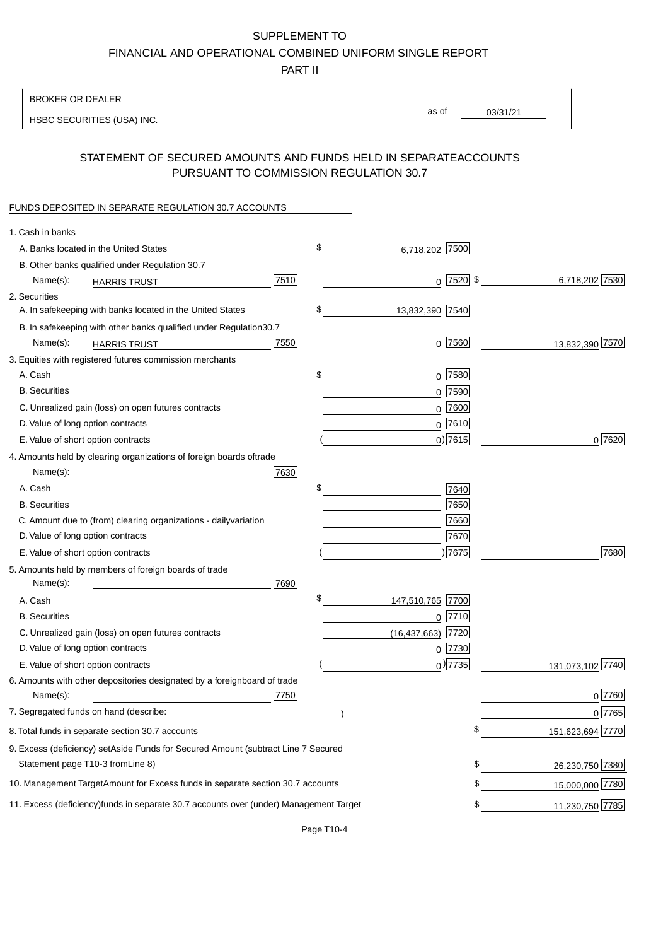PART II

| <b>BROKER OR DEALER</b>                                                                |                                        |                        |                 |                  |
|----------------------------------------------------------------------------------------|----------------------------------------|------------------------|-----------------|------------------|
| HSBC SECURITIES (USA) INC.                                                             |                                        | as of                  | 03/31/21        |                  |
|                                                                                        |                                        |                        |                 |                  |
| STATEMENT OF SECURED AMOUNTS AND FUNDS HELD IN SEPARATE                                | PURSUANT TO COMMISSION REGULATION 30.7 |                        | <b>ACCOUNTS</b> |                  |
| FUNDS DEPOSITED IN SEPARATE REGULATION 30.7 ACCOUNTS                                   |                                        |                        |                 |                  |
| 1. Cash in banks                                                                       |                                        |                        |                 |                  |
| A. Banks located in the United States                                                  | \$                                     | 6,718,202 7500         |                 |                  |
| B. Other banks qualified under Regulation 30.7                                         |                                        |                        |                 |                  |
| Name(s):<br><b>HARRIS TRUST</b>                                                        | 7510                                   | $0$ 7520 \$            |                 | 6,718,202 7530   |
| 2. Securities                                                                          |                                        |                        |                 |                  |
| A. In safekeeping with banks located in the United States                              | \$                                     | 13,832,390 7540        |                 |                  |
| B. In safekeeping with other banks qualified under Regulation                          | 30.7                                   |                        |                 |                  |
| Name(s):<br><b>HARRIS TRUST</b>                                                        | 7550                                   | $0$ 7560               |                 | 13,832,390 7570  |
| 3. Equities with registered futures commission merchants                               |                                        |                        |                 |                  |
| A. Cash                                                                                | \$                                     | $0$ 7580               |                 |                  |
| <b>B.</b> Securities                                                                   |                                        | $0$ 7590               |                 |                  |
| C. Unrealized gain (loss) on open futures contracts                                    |                                        | $0$ 7600               |                 |                  |
| D. Value of long option contracts                                                      |                                        | $0$ 7610               |                 |                  |
| E. Value of short option contracts                                                     |                                        | $0)$ 7615              |                 | 0 7620           |
| 4. Amounts held by clearing organizations of foreign boards of                         | trade                                  |                        |                 |                  |
| Name(s):                                                                               | 7630                                   |                        |                 |                  |
| A. Cash                                                                                | \$                                     | 7640                   |                 |                  |
| <b>B.</b> Securities                                                                   |                                        | 7650                   |                 |                  |
| C. Amount due to (from) clearing organizations - daily                                 | variation                              | 7660                   |                 |                  |
| D. Value of long option contracts                                                      |                                        | 7670                   |                 |                  |
| E. Value of short option contracts                                                     |                                        | ) 7675                 |                 | 7680             |
| 5. Amounts held by members of foreign boards of trade<br>Name(s):                      | 7690                                   |                        |                 |                  |
| A. Cash                                                                                | \$                                     | 147,510,765 7700       |                 |                  |
| <b>B.</b> Securities                                                                   |                                        | 7710<br>0              |                 |                  |
| C. Unrealized gain (loss) on open futures contracts                                    |                                        | 7720<br>(16, 437, 663) |                 |                  |
| D. Value of long option contracts                                                      |                                        | $0$ 7730               |                 |                  |
| E. Value of short option contracts                                                     |                                        | $_0$ ) 7735            |                 | 131,073,102 7740 |
| 6. Amounts with other depositories designated by a foreign<br>Name(s):                 | board of trade<br>7750                 |                        |                 | 0 7760           |
| 7. Segregated funds on hand (describe:                                                 |                                        |                        |                 | 0 7765           |
| 8. Total funds in separate section 30.7 accounts                                       |                                        |                        | \$              | 151,623,694 7770 |
| 9. Excess (deficiency) set Aside Funds for Secured Amount (subtract Line 7 Secured     |                                        |                        |                 |                  |
| Statement page T10-3 from Line 8)                                                      |                                        |                        | \$              | 26,230,750 7380  |
| 10. Management Target Amount for Excess funds in separate section 30.7 accounts        |                                        |                        | \$              | 15,000,000 7780  |
| 11. Excess (deficiency) funds in separate 30.7 accounts over (under) Management Target |                                        |                        | \$              | 11,230,750 7785  |
|                                                                                        |                                        |                        |                 |                  |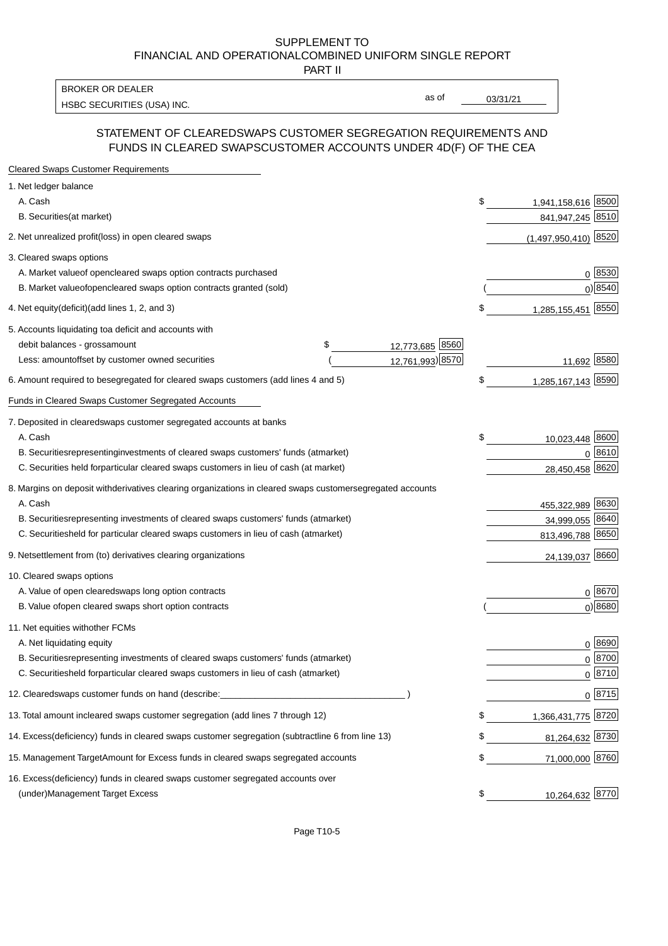PART II

HSBC SECURITIES (USA) INC. The state of the second second second second second second second second second second second second second second second second second second second second second second second second second sec BROKER OR DEALER

as of

### STATEMENT OF CLEARED SWAPS CUSTOMER SEGREGATION REQUIREMENTS AND FUNDS IN CLEARED SWAPS CUSTOMER ACCOUNTS UNDER 4D(F) OF THE CEA

| <b>Cleared Swaps Customer Requirements</b>                                                                  |                          |
|-------------------------------------------------------------------------------------------------------------|--------------------------|
| 1. Net ledger balance                                                                                       |                          |
| A. Cash                                                                                                     | \$<br>1,941,158,616 8500 |
| B. Securities (at market)                                                                                   | 841,947,245 8510         |
| 2. Net unrealized profit (loss) in open cleared swaps                                                       | $(1,497,950,410)$ 8520   |
| 3. Cleared swaps options                                                                                    |                          |
| A. Market value of open cleared swaps option contracts purchased                                            | 0   8530                 |
| B. Market value of open cleared swaps option contracts granted (sold)                                       | $0)$ 8540                |
| 4. Net equity (deficit) (add lines 1, 2, and 3)                                                             | \$<br>1,285,155,451 8550 |
| 5. Accounts liquidating to a deficit and accounts with                                                      |                          |
| 12,773,685 8560<br>debit balances - gross amount<br>\$                                                      |                          |
| 12,761,993) 8570<br>Less: amount offset by customer owned securities                                        | 11,692 8580              |
| 6. Amount required to be segregated for cleared swaps customers (add lines 4 and 5)                         | \$<br>1,285,167,143 8590 |
| Funds in Cleared Swaps Customer Segregated Accounts                                                         |                          |
| 7. Deposited in cleared swaps customer segregated accounts at banks                                         |                          |
| A. Cash                                                                                                     | \$<br>10,023,448 8600    |
| B. Securities representing investments of cleared swaps customers' funds (at market)                        | 0 8610                   |
| C. Securities held for particular cleared swaps customers in lieu of cash (at market)                       | 28,450,458 8620          |
| 8. Margins on deposit with derivatives clearing organizations in cleared swaps customer segregated accounts |                          |
| A. Cash                                                                                                     | 455,322,989 8630         |
| B. Securities representing investments of cleared swaps customers' funds (at market)                        | 34,999,055 8640          |
| C. Securities<br>held for particular cleared swaps customers in lieu of cash (at market)                    | 813,496,788 8650         |
| 9. Net settlement from (to) derivatives clearing organizations                                              | 24,139,037 8660          |
| 10. Cleared swaps options                                                                                   |                          |
| A. Value of open cleared swaps long option contracts                                                        | $0^{8670}$               |
| B. Value of open cleared swaps short option contracts                                                       | $0$ ) 8680               |
| 11. Net equities with other FCMs                                                                            |                          |
| A. Net liquidating equity                                                                                   | $0^{8690}$               |
| B. Securities representing investments of cleared swaps customers' funds (at market)                        | $0^{8700}$               |
| C. Securities held for particular cleared swaps customers in lieu of cash (at market)                       | 0 8710                   |
| 12. Cleared swaps customer funds on hand (describe:                                                         | $0 \;  8715 $            |
| 13. Total amount in cleared swaps customer segregation (add lines 7 through 12)                             | \$<br>1,366,431,775 8720 |
| 14. Excess (deficiency) funds in cleared swaps customer segregation (subtract line 6 from line 13)          | 81,264,632 8730          |
| 15. Management Target Amount for Excess funds in cleared swaps segregated accounts                          | \$<br>71,000,000 8760    |
| 16. Excess<br>(deficiency) funds in cleared swaps customer segregated accounts over                         |                          |
| <b>Management Target Excess</b><br>(under)                                                                  | \$<br>10,264,632 8770    |